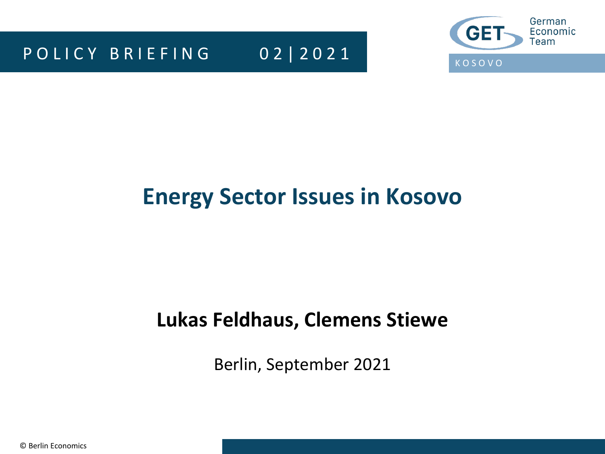P O L I C Y B R L E F I N G 0 2 | 2 0 2 1



## **Energy Sector Issues in Kosovo**

## **Lukas Feldhaus, Clemens Stiewe**

Berlin, September 2021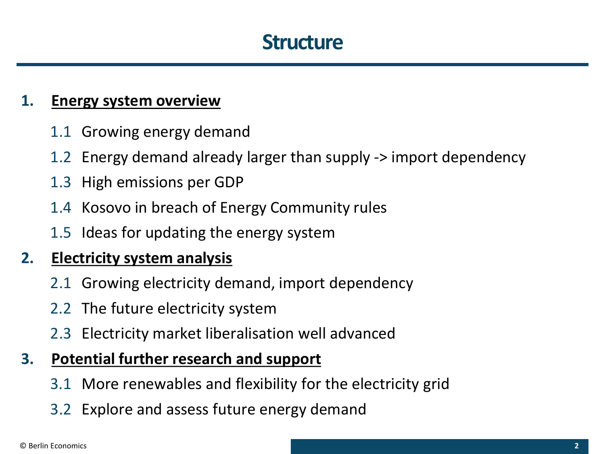## **Structure**

### **1. Energy system overview**

- 1.1 Growing energy demand
- 1.2 Energy demand already larger than supply -> import dependency
- 1.3 High emissions per GDP
- 1.4 Kosovo in breach of Energy Community rules
- 1.5 Ideas for updating the energy system

### **2. Electricity system analysis**

- 2.1 Growing electricity demand, import dependency
- 2.2 The future electricity system
- 2.3 Electricity market liberalisation well advanced

### **3. Potential further research and support**

- 3.1 More renewables and flexibility for the electricity grid
- 3.2 Explore and assess future energy demand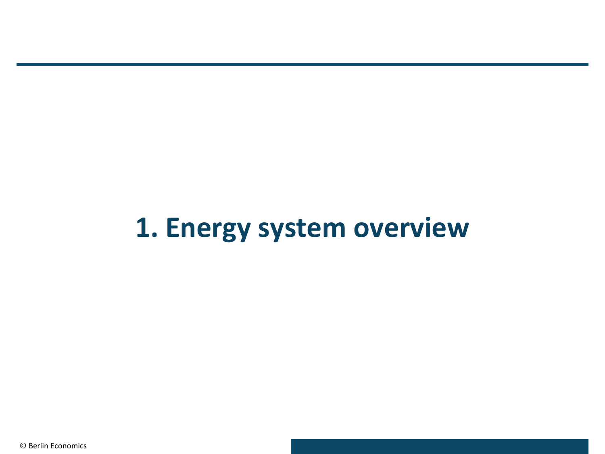# **1. Energy system overview**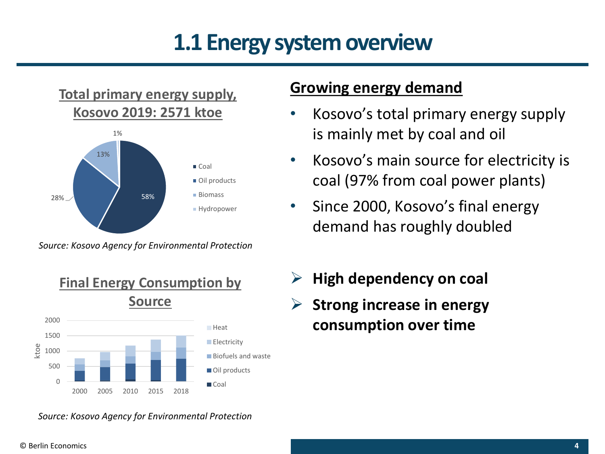## **1.1 Energy system overview**

### **Total primary energy supply, Kosovo 2019: 2571 ktoe**



*Source: Kosovo Agency for Environmental Protection*



### **Growing energy demand**

- Kosovo's total primary energy supply is mainly met by coal and oil
- Kosovo's main source for electricity is coal (97% from coal power plants)
- Since 2000, Kosovo's final energy demand has roughly doubled
- ➢ **High dependency on coal**
- ➢ **Strong increase in energy consumption over time**

*Source: Kosovo Agency for Environmental Protection*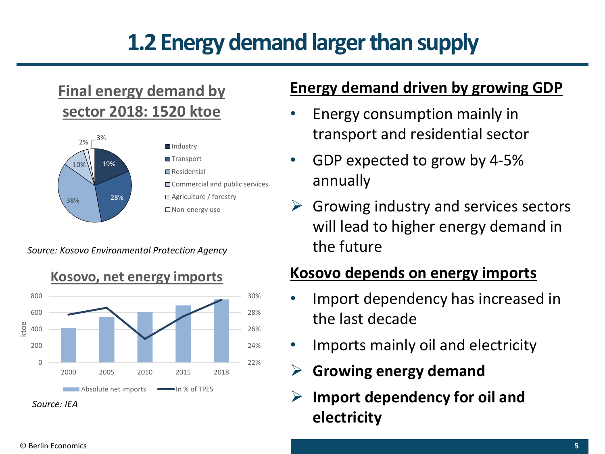# **1.2 Energy demand larger than supply**

## **Final energy demand by sector 2018: 1520 ktoe**



#### *Source: Kosovo Environmental Protection Agency*



### **Energy demand driven by growing GDP**

- Energy consumption mainly in transport and residential sector
- GDP expected to grow by 4-5% annually
- $\triangleright$  Growing industry and services sectors will lead to higher energy demand in the future

### **Kosovo depends on energy imports**

- Import dependency has increased in the last decade
- Imports mainly oil and electricity
- ➢ **Growing energy demand**
- ➢ **Import dependency for oil and electricity**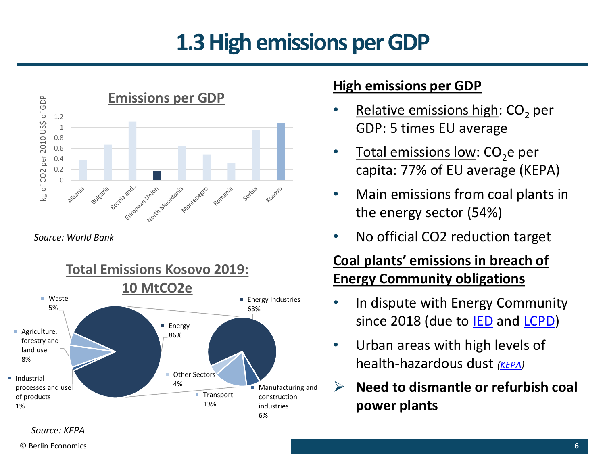## **1.3 High emissions per GDP**



*Source: World Bank*



### **High emissions per GDP**

- Relative emissions high:  $CO<sub>2</sub>$  per GDP: 5 times EU average
- Total emissions low:  $CO<sub>2</sub>$ e per capita: 77% of EU average (KEPA)
- Main emissions from coal plants in the energy sector (54%)
- No official CO2 reduction target

### **Coal plants' emissions in breach of Energy Community obligations**

- In dispute with Energy Community since 2018 (due to **[IED](https://ec.europa.eu/environment/industry/stationary/ied/legislation.htm)** and **LCPD**)
- Urban areas with high levels of health-hazardous dust *[\(KEPA\)](https://www.ammk-rks.net/repository/docs/Anglisht_WEB_(ok).pdf)*
- ➢ **Need to dismantle or refurbish coal power plants**

#### *Source: KEPA*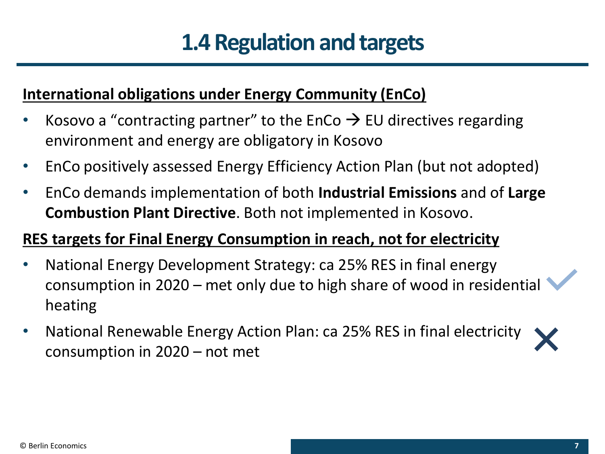## **1.4 Regulation and targets**

### **International obligations under Energy Community (EnCo)**

- Kosovo a "contracting partner" to the EnCo  $\rightarrow$  EU directives regarding environment and energy are obligatory in Kosovo
- EnCo positively assessed Energy Efficiency Action Plan (but not adopted)
- EnCo demands implementation of both **Industrial Emissions** and of **Large Combustion Plant Directive**. Both not implemented in Kosovo.

### **RES targets for Final Energy Consumption in reach, not for electricity**

- National Energy Development Strategy: ca 25% RES in final energy consumption in 2020 – met only due to high share of wood in residential heating
- National Renewable Energy Action Plan: ca 25% RES in final electricity consumption in 2020 – not met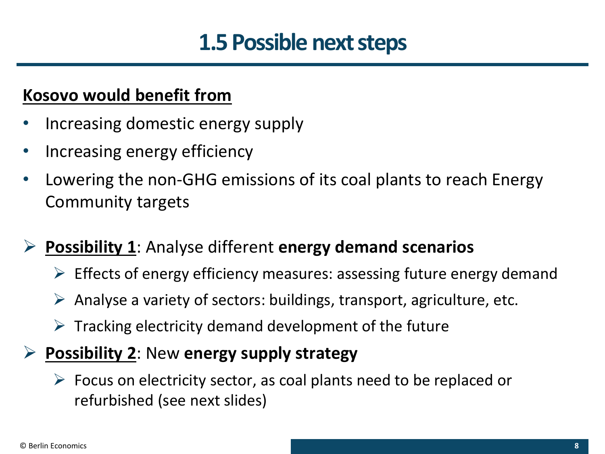## **1.5 Possible next steps**

## **Kosovo would benefit from**

- Increasing domestic energy supply
- Increasing energy efficiency
- Lowering the non-GHG emissions of its coal plants to reach Energy Community targets

## ➢ **Possibility 1**: Analyse different **energy demand scenarios**

- $\triangleright$  Effects of energy efficiency measures: assessing future energy demand
- $\triangleright$  Analyse a variety of sectors: buildings, transport, agriculture, etc.
- $\triangleright$  Tracking electricity demand development of the future

## ➢ **Possibility 2**: New **energy supply strategy**

### $\triangleright$  Focus on electricity sector, as coal plants need to be replaced or refurbished (see next slides)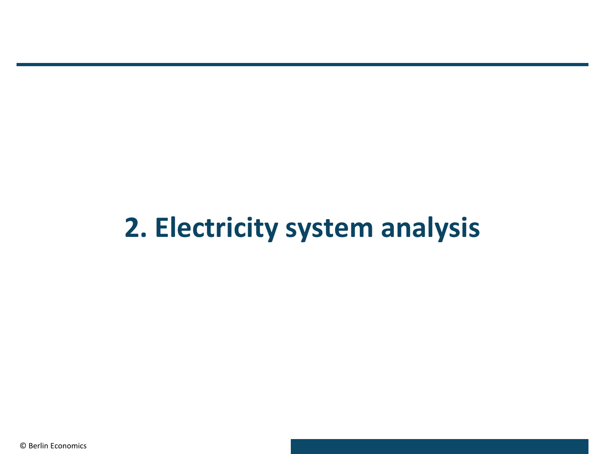# **2. Electricity system analysis**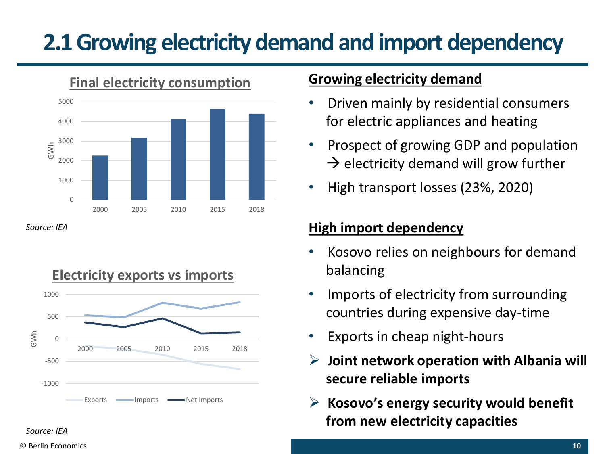## **2.1 Growing electricity demand and import dependency**



*Source: IEA*



### **Growing electricity demand**

- Driven mainly by residential consumers for electric appliances and heating
- Prospect of growing GDP and population  $\rightarrow$  electricity demand will grow further
- High transport losses (23%, 2020)

### **High import dependency**

- Kosovo relies on neighbours for demand balancing
- Imports of electricity from surrounding countries during expensive day-time
- Exports in cheap night-hours
- ➢ **Joint network operation with Albania will secure reliable imports**
- ➢ **Kosovo's energy security would benefit from new electricity capacities**

### © Berlin Economics **10**

*Source: IEA*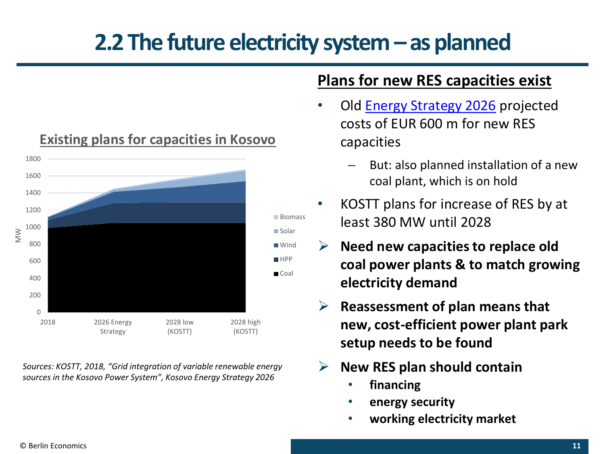## **2.2 The future electricity system – as planned**



*Sources: KOSTT, 2018, "Grid integration of variable renewable energy sources in the Kosovo Power System", Kosovo Energy Strategy 2026*

#### **Plans for new RES capacities exist**

- Old [Energy Strategy 2026](https://kryeministri.rks-gov.net/wp-content/uploads/docs/Kosovo_Energy_Strategy_2017_-_26.pdf) projected costs of EUR 600 m for new RES capacities
	- But: also planned installation of a new coal plant, which is on hold
- KOSTT plans for increase of RES by at least 380 MW until 2028
- ➢ **Need new capacities to replace old coal power plants & to match growing electricity demand**
- ➢ **Reassessment of plan means that new, cost-efficient power plant park setup needs to be found**
- ➢ **New RES plan should contain**
	- **financing**
	- **energy security**
	- **working electricity market**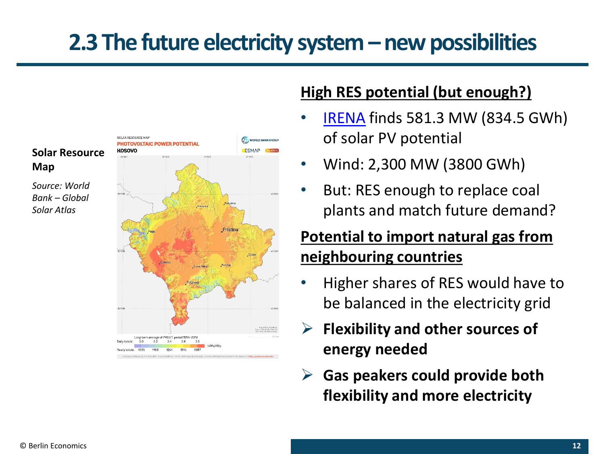## **2.3 The future electricity system –new possibilities**



### **High RES potential (but enough?)**

- [IRENA](https://www.irena.org/-/media/Files/IRENA/Agency/Publication/2017/IRENA_Cost-competitive_power_potential_SEE_2017.pdf?la=en&hash=DE44F51BDDFB43D4CB8D880B5AB71713447BA043) finds 581.3 MW (834.5 GWh) of solar PV potential
- Wind: 2,300 MW (3800 GWh)
- But: RES enough to replace coal plants and match future demand?

## **Potential to import natural gas from neighbouring countries**

- Higher shares of RES would have to be balanced in the electricity grid
- ➢ **Flexibility and other sources of energy needed**
- ➢ **Gas peakers could provide both flexibility and more electricity**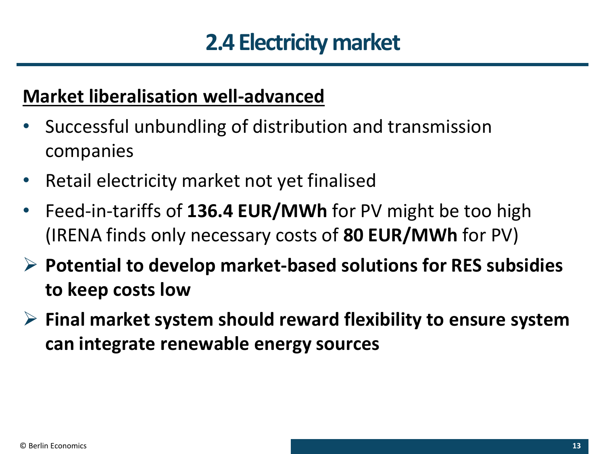## **2.4 Electricity market**

## **Market liberalisation well-advanced**

- Successful unbundling of distribution and transmission companies
- Retail electricity market not yet finalised
- Feed-in-tariffs of **136.4 EUR/MWh** for PV might be too high (IRENA finds only necessary costs of **80 EUR/MWh** for PV)
- ➢ **Potential to develop market-based solutions for RES subsidies to keep costs low**
- ➢ **Final market system should reward flexibility to ensure system can integrate renewable energy sources**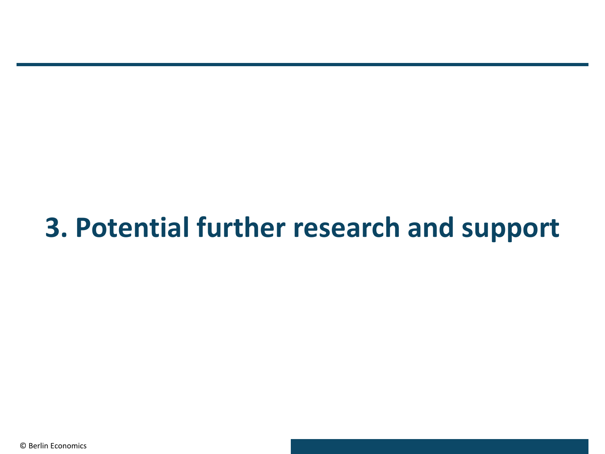# **3. Potential further research and support**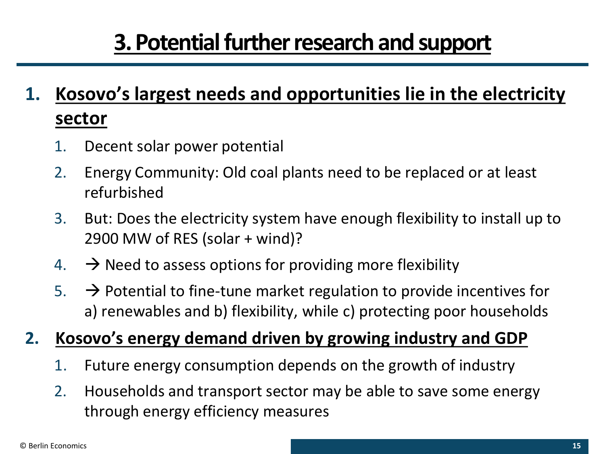## **3. Potential further research and support**

## **1. Kosovo's largest needs and opportunities lie in the electricity sector**

- 1. Decent solar power potential
- 2. Energy Community: Old coal plants need to be replaced or at least refurbished
- 3. But: Does the electricity system have enough flexibility to install up to 2900 MW of RES (solar + wind)?
- 4.  $\rightarrow$  Need to assess options for providing more flexibility
- 5.  $\rightarrow$  Potential to fine-tune market regulation to provide incentives for a) renewables and b) flexibility, while c) protecting poor households
- **2. Kosovo's energy demand driven by growing industry and GDP**
	- 1. Future energy consumption depends on the growth of industry
	- 2. Households and transport sector may be able to save some energy through energy efficiency measures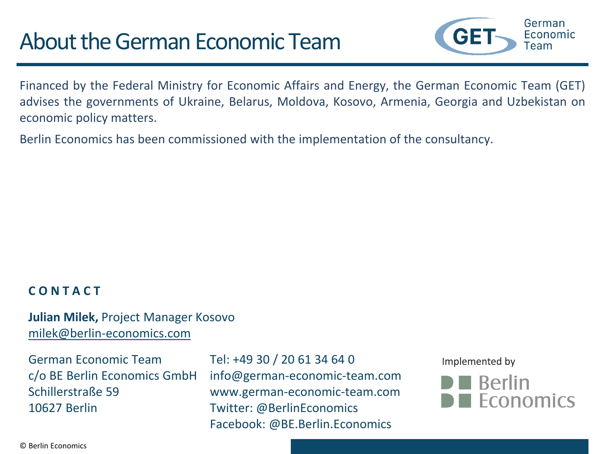## About the German Economic Team



Financed by the Federal Ministry for Economic Affairs and Energy, the German Economic Team (GET) advises the governments of Ukraine, Belarus, Moldova, Kosovo, Armenia, Georgia and Uzbekistan on economic policy matters.

Berlin Economics has been commissioned with the implementation of the consultancy.

#### **C O N T A C T**

#### **Julian Milek,** Project Manager Kosovo [milek@berlin-economics.com](mailto:chervyakov@berlin-economics.com)

German Economic Team Tel: +49 30 / 20 61 34 64 0 10627 Berlin Twitter: @BerlinEconomics

c/o BE Berlin Economics GmbH info@german-economic-team.com Schillerstraße 59 www.german-economic-team.com Facebook: @BE.Berlin.Economics

Implemented by